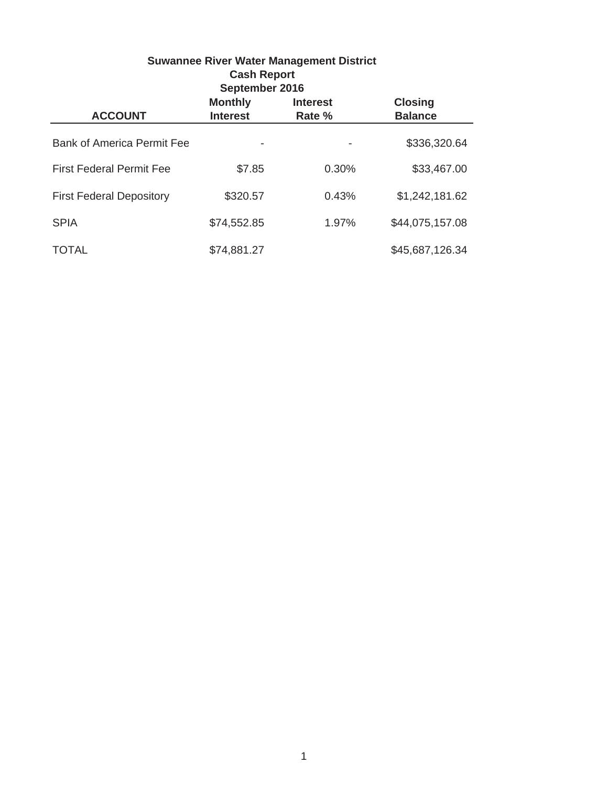| <b>Suwannee River Water Management District</b><br><b>Cash Report</b><br>September 2016                              |             |       |                 |  |  |  |
|----------------------------------------------------------------------------------------------------------------------|-------------|-------|-----------------|--|--|--|
| <b>Closing</b><br><b>Monthly</b><br><b>Interest</b><br><b>ACCOUNT</b><br><b>Interest</b><br><b>Balance</b><br>Rate % |             |       |                 |  |  |  |
| <b>Bank of America Permit Fee</b>                                                                                    |             |       | \$336,320.64    |  |  |  |
| <b>First Federal Permit Fee</b>                                                                                      | \$7.85      | 0.30% | \$33,467.00     |  |  |  |
| <b>First Federal Depository</b>                                                                                      | \$320.57    | 0.43% | \$1,242,181.62  |  |  |  |
| <b>SPIA</b>                                                                                                          | \$74,552.85 | 1.97% | \$44,075,157.08 |  |  |  |
| TOTAL                                                                                                                | \$74,881.27 |       | \$45,687,126.34 |  |  |  |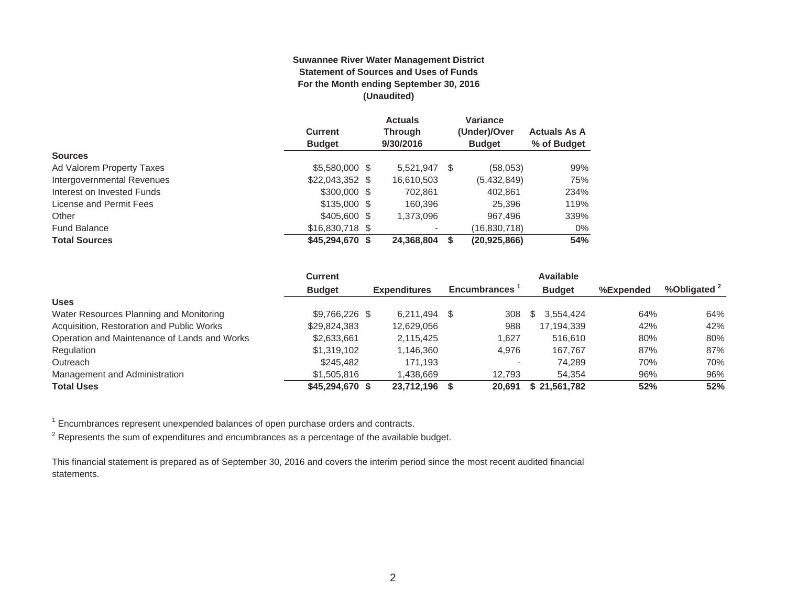#### **Suwannee River Water Management District Statement of Sources and Uses of Funds For the Month ending September 30, 2016 (Unaudited)**

|                            | <b>Current</b>   | <b>Actuals</b><br><b>Through</b> |   | Variance<br>(Under)/Over | <b>Actuals As A</b> |
|----------------------------|------------------|----------------------------------|---|--------------------------|---------------------|
|                            | <b>Budget</b>    | 9/30/2016                        |   | <b>Budget</b>            | % of Budget         |
| <b>Sources</b>             |                  |                                  |   |                          |                     |
| Ad Valorem Property Taxes  | \$5,580,000 \$   | 5,521,947                        | S | (58,053)                 | 99%                 |
| Intergovernmental Revenues | $$22,043,352$ \$ | 16,610,503                       |   | (5,432,849)              | 75%                 |
| Interest on Invested Funds | $$300,000$ \$    | 702.861                          |   | 402.861                  | 234%                |
| License and Permit Fees    | $$135.000$ \$    | 160.396                          |   | 25.396                   | 119%                |
| Other                      | \$405,600 \$     | 1,373,096                        |   | 967.496                  | 339%                |
| <b>Fund Balance</b>        | $$16,830,718$ \$ |                                  |   | (16,830,718)             | $0\%$               |
| <b>Total Sources</b>       | \$45,294,670 \$  | 24,368,804                       |   | (20, 925, 866)           | 54%                 |

|                                              | <b>Current</b>  |                     |                     | <b>Available</b> |           |                         |
|----------------------------------------------|-----------------|---------------------|---------------------|------------------|-----------|-------------------------|
|                                              | <b>Budget</b>   | <b>Expenditures</b> | <b>Encumbrances</b> | <b>Budget</b>    | %Expended | %Obligated <sup>2</sup> |
| <b>Uses</b>                                  |                 |                     |                     |                  |           |                         |
| Water Resources Planning and Monitoring      | $$9.766.226$ \$ | 6.211.494           | \$.<br>308          | 3.554.424<br>S.  | 64%       | 64%                     |
| Acquisition, Restoration and Public Works    | \$29,824,383    | 12,629,056          | 988                 | 17,194,339       | 42%       | 42%                     |
| Operation and Maintenance of Lands and Works | \$2,633,661     | 2.115.425           | 1.627               | 516,610          | 80%       | 80%                     |
| Regulation                                   | \$1,319,102     | 1.146.360           | 4,976               | 167.767          | 87%       | 87%                     |
| Outreach                                     | \$245,482       | 171.193             |                     | 74.289           | 70%       | 70%                     |
| Management and Administration                | \$1,505,816     | 1.438.669           | 12.793              | 54.354           | 96%       | 96%                     |
| <b>Total Uses</b>                            | \$45,294,670 \$ | 23.712.196          | 20.691              | \$21,561,782     | 52%       | 52%                     |

 $1$  Encumbrances represent unexpended balances of open purchase orders and contracts.

 $2$  Represents the sum of expenditures and encumbrances as a percentage of the available budget.

This financial statement is prepared as of September 30, 2016 and covers the interim period since the most recent audited financial statements.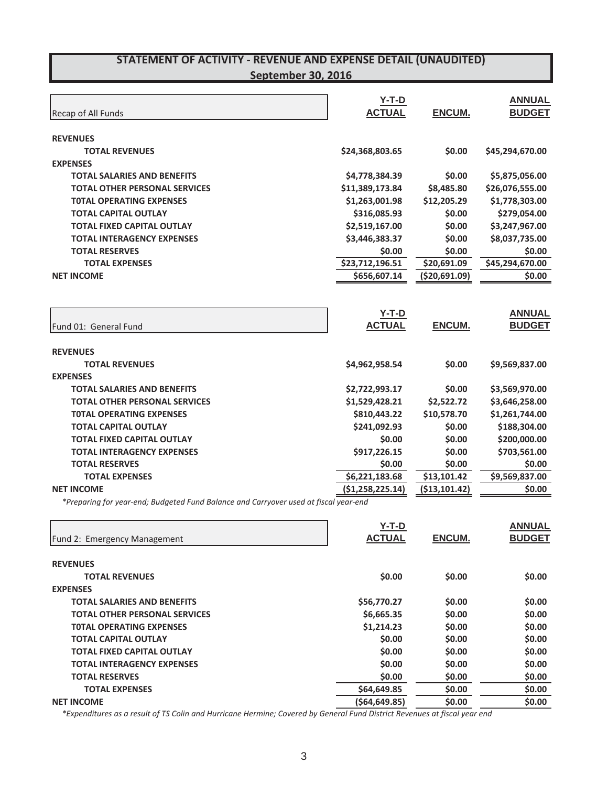| Recap of All Funds                   | $Y-T-D$<br><b>ACTUAL</b> | ENCUM.        | <b>ANNUAL</b><br><b>BUDGET</b> |
|--------------------------------------|--------------------------|---------------|--------------------------------|
| <b>REVENUES</b>                      |                          |               |                                |
| <b>TOTAL REVENUES</b>                | \$24,368,803.65          | \$0.00        | \$45,294,670.00                |
| <b>EXPENSES</b>                      |                          |               |                                |
| <b>TOTAL SALARIES AND BENEFITS</b>   | \$4,778,384.39           | \$0.00        | \$5,875,056.00                 |
| <b>TOTAL OTHER PERSONAL SERVICES</b> | \$11,389,173.84          | \$8,485.80    | \$26,076,555.00                |
| <b>TOTAL OPERATING EXPENSES</b>      | \$1,263,001.98           | \$12,205.29   | \$1,778,303.00                 |
| <b>TOTAL CAPITAL OUTLAY</b>          | \$316,085.93             | \$0.00        | \$279,054.00                   |
| <b>TOTAL FIXED CAPITAL OUTLAY</b>    | \$2,519,167.00           | \$0.00        | \$3,247,967.00                 |
| <b>TOTAL INTERAGENCY EXPENSES</b>    | \$3,446,383.37           | \$0.00        | \$8,037,735.00                 |
| <b>TOTAL RESERVES</b>                | \$0.00                   | \$0.00        | \$0.00                         |
| <b>TOTAL EXPENSES</b>                | \$23,712,196.51          | \$20,691.09   | \$45,294,670.00                |
| <b>NET INCOME</b>                    | \$656,607.14             | (\$20,691.09) | \$0.00                         |
| Fund 01: General Fund                | $Y-T-D$<br><b>ACTUAL</b> | <b>ENCUM.</b> | <b>ANNUAL</b><br><b>BUDGET</b> |
| <b>REVENUES</b>                      |                          |               |                                |
| <b>TOTAL REVENUES</b>                | \$4,962,958.54           | \$0.00        | \$9,569,837.00                 |
| <b>EXPENSES</b>                      |                          |               |                                |
| <b>TOTAL SALARIES AND BENEFITS</b>   | \$2,722,993.17           | \$0.00        | \$3,569,970.00                 |
| <b>TOTAL OTHER PERSONAL SERVICES</b> | \$1,529,428.21           | \$2,522.72    | \$3,646,258.00                 |
| <b>TOTAL OPERATING EXPENSES</b>      | \$810,443.22             | \$10,578.70   | \$1,261,744.00                 |
| <b>TOTAL CAPITAL OUTLAY</b>          | \$241,092.93             | \$0.00        | \$188,304.00                   |
| <b>TOTAL FIXED CAPITAL OUTLAY</b>    | \$0.00                   | \$0.00        | \$200,000.00                   |
| <b>TOTAL INTERAGENCY EXPENSES</b>    | \$917,226.15             | \$0.00        | \$703,561.00                   |
|                                      |                          |               |                                |
| <b>TOTAL RESERVES</b>                | \$0.00                   | \$0.00        | \$0.00                         |
| <b>TOTAL EXPENSES</b>                | \$6,221,183.68           | \$13,101.42   | \$9,569,837.00                 |

*\*Preparing for yearͲend; Budgeted Fund Balance and Carryover used at fiscal yearͲend*

| Fund 2: Emergency Management         | $Y-T-D$<br><b>ACTUAL</b> | <b>ENCUM.</b> | <b>ANNUAL</b><br><b>BUDGET</b> |
|--------------------------------------|--------------------------|---------------|--------------------------------|
|                                      |                          |               |                                |
| <b>REVENUES</b>                      |                          |               |                                |
| <b>TOTAL REVENUES</b>                | \$0.00                   | \$0.00        | \$0.00                         |
| <b>EXPENSES</b>                      |                          |               |                                |
| TOTAL SALARIES AND BENEFITS          | \$56,770.27              | \$0.00        | \$0.00                         |
| <b>TOTAL OTHER PERSONAL SERVICES</b> | \$6,665.35               | \$0.00        | \$0.00                         |
| <b>TOTAL OPERATING EXPENSES</b>      | \$1,214.23               | \$0.00        | \$0.00                         |
| <b>TOTAL CAPITAL OUTLAY</b>          | \$0.00                   | \$0.00        | \$0.00                         |
| TOTAL FIXED CAPITAL OUTLAY           | \$0.00                   | \$0.00        | \$0.00                         |
| <b>TOTAL INTERAGENCY EXPENSES</b>    | \$0.00                   | \$0.00        | \$0.00                         |
| <b>TOTAL RESERVES</b>                | \$0.00                   | \$0.00        | \$0.00                         |
| <b>TOTAL EXPENSES</b>                | \$64,649.85              | \$0.00        | \$0.00                         |
| <b>NET INCOME</b>                    | (564, 649.85)            | \$0.00        | \$0.00                         |

\*Expenditures as a result of TS Colin and Hurricane Hermine; Covered by General Fund District Revenues at fiscal year end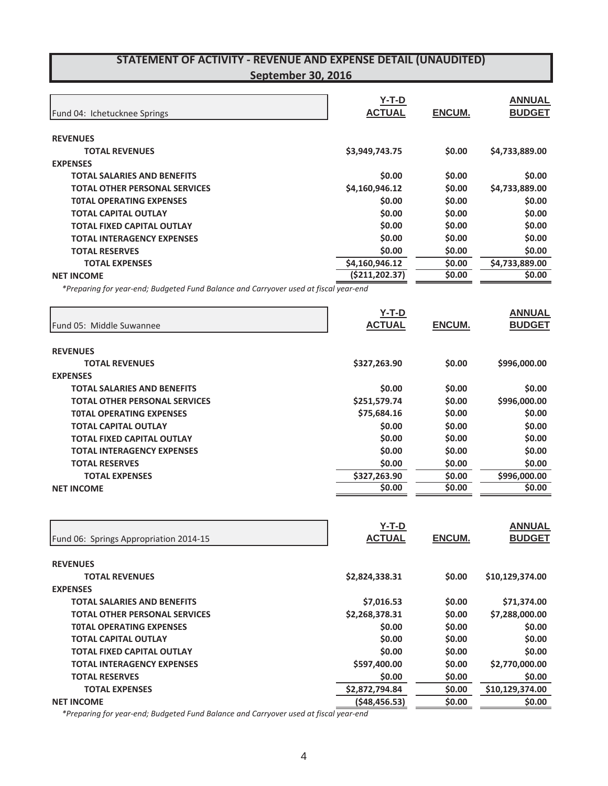| Fund 04: Ichetucknee Springs                                                         | $Y-T-D$<br><b>ACTUAL</b> | ENCUM.        | <b>ANNUAL</b><br><b>BUDGET</b> |
|--------------------------------------------------------------------------------------|--------------------------|---------------|--------------------------------|
| <b>REVENUES</b>                                                                      |                          |               |                                |
| <b>TOTAL REVENUES</b>                                                                | \$3,949,743.75           | \$0.00        | \$4,733,889.00                 |
| <b>EXPENSES</b>                                                                      |                          |               |                                |
| <b>TOTAL SALARIES AND BENEFITS</b>                                                   | \$0.00                   | \$0.00        | \$0.00                         |
| <b>TOTAL OTHER PERSONAL SERVICES</b>                                                 | \$4,160,946.12           | \$0.00        | \$4,733,889.00                 |
| <b>TOTAL OPERATING EXPENSES</b>                                                      | \$0.00                   | \$0.00        | \$0.00                         |
| <b>TOTAL CAPITAL OUTLAY</b>                                                          | \$0.00                   | \$0.00        | \$0.00                         |
| <b>TOTAL FIXED CAPITAL OUTLAY</b>                                                    | \$0.00                   | \$0.00        | \$0.00                         |
| <b>TOTAL INTERAGENCY EXPENSES</b>                                                    | \$0.00                   | \$0.00        | \$0.00                         |
| <b>TOTAL RESERVES</b>                                                                | \$0.00                   | \$0.00        | \$0.00                         |
| <b>TOTAL EXPENSES</b>                                                                | \$4,160,946.12           | \$0.00        | \$4,733,889.00                 |
| <b>NET INCOME</b>                                                                    | ( \$211, 202.37)         | \$0.00        | \$0.00                         |
| *Preparing for year-end; Budgeted Fund Balance and Carryover used at fiscal year-end |                          |               |                                |
|                                                                                      | $Y-T-D$                  |               | <b>ANNUAL</b>                  |
| Fund 05: Middle Suwannee                                                             | <b>ACTUAL</b>            | <b>ENCUM.</b> | <b>BUDGET</b>                  |
| <b>REVENUES</b>                                                                      |                          |               |                                |
| <b>TOTAL REVENUES</b>                                                                | \$327,263.90             | \$0.00        | \$996,000.00                   |
| <b>EXPENSES</b>                                                                      |                          |               |                                |
| <b>TOTAL SALARIES AND BENEFITS</b>                                                   | \$0.00                   | \$0.00        | \$0.00                         |
| <b>TOTAL OTHER PERSONAL SERVICES</b>                                                 | \$251,579.74             | \$0.00        | \$996,000.00                   |
| <b>TOTAL OPERATING EXPENSES</b>                                                      | \$75,684.16              | \$0.00        | \$0.00                         |
| <b>TOTAL CAPITAL OUTLAY</b>                                                          | \$0.00                   | \$0.00        | \$0.00                         |
| <b>TOTAL FIXED CAPITAL OUTLAY</b>                                                    | \$0.00                   | \$0.00        | \$0.00                         |
| <b>TOTAL INTERAGENCY EXPENSES</b>                                                    | \$0.00                   | \$0.00        | \$0.00                         |
| <b>TOTAL RESERVES</b>                                                                | \$0.00                   | \$0.00        | \$0.00                         |
| <b>TOTAL EXPENSES</b>                                                                | \$327,263.90             | \$0.00        | \$996,000.00                   |
| <b>NET INCOME</b>                                                                    | \$0.00                   | \$0.00        | \$0.00                         |
|                                                                                      |                          |               |                                |

| Fund 06: Springs Appropriation 2014-15 | Y-T-D<br><b>ACTUAL</b> | ENCUM. | <b>ANNUAL</b><br><b>BUDGET</b> |
|----------------------------------------|------------------------|--------|--------------------------------|
|                                        |                        |        |                                |
| <b>REVENUES</b>                        |                        |        |                                |
| <b>TOTAL REVENUES</b>                  | \$2,824,338.31         | \$0.00 | \$10,129,374.00                |
| <b>EXPENSES</b>                        |                        |        |                                |
| <b>TOTAL SALARIES AND BENEFITS</b>     | \$7,016.53             | \$0.00 | \$71,374.00                    |
| <b>TOTAL OTHER PERSONAL SERVICES</b>   | \$2,268,378.31         | \$0.00 | \$7,288,000.00                 |
| <b>TOTAL OPERATING EXPENSES</b>        | \$0.00                 | \$0.00 | \$0.00                         |
| <b>TOTAL CAPITAL OUTLAY</b>            | \$0.00                 | \$0.00 | \$0.00                         |
| <b>TOTAL FIXED CAPITAL OUTLAY</b>      | \$0.00                 | \$0.00 | \$0.00                         |
| <b>TOTAL INTERAGENCY EXPENSES</b>      | \$597,400.00           | \$0.00 | \$2,770,000.00                 |
| <b>TOTAL RESERVES</b>                  | \$0.00                 | \$0.00 | \$0.00                         |
| <b>TOTAL EXPENSES</b>                  | \$2,872,794.84         | \$0.00 | \$10,129,374.00                |
| <b>NET INCOME</b>                      | (548, 456.53)          | \$0.00 | \$0.00                         |

*\*Preparing for yearͲend; Budgeted Fund Balance and Carryover used at fiscal yearͲend*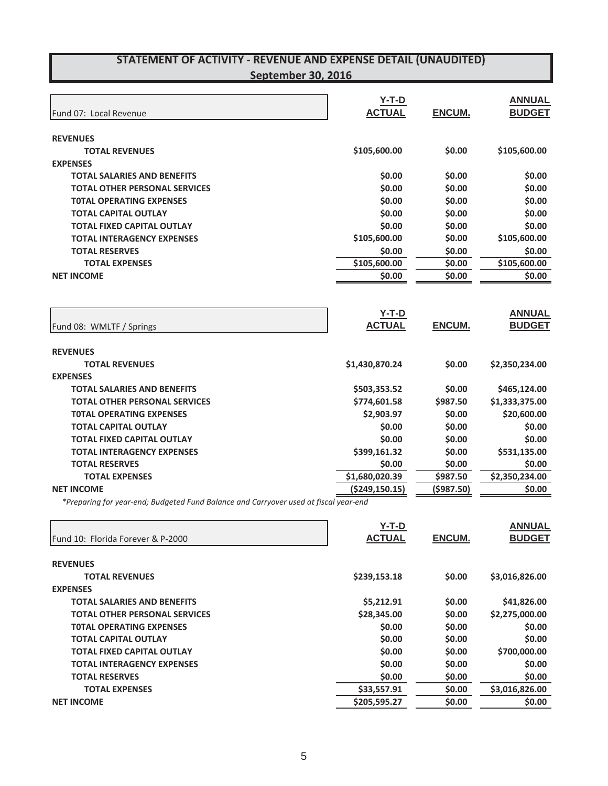| Fund 07: Local Revenue               | $Y-T-D$<br><b>ACTUAL</b> | <b>ENCUM.</b> | <b>ANNUAL</b><br><b>BUDGET</b> |
|--------------------------------------|--------------------------|---------------|--------------------------------|
| <b>REVENUES</b>                      |                          |               |                                |
| <b>TOTAL REVENUES</b>                | \$105,600.00             | \$0.00        | \$105,600.00                   |
| <b>EXPENSES</b>                      |                          |               |                                |
| TOTAL SALARIES AND BENEFITS          | \$0.00                   | \$0.00        | \$0.00                         |
| <b>TOTAL OTHER PERSONAL SERVICES</b> | \$0.00                   | \$0.00        | \$0.00                         |
| <b>TOTAL OPERATING EXPENSES</b>      | \$0.00                   | \$0.00        | \$0.00                         |
| <b>TOTAL CAPITAL OUTLAY</b>          | \$0.00                   | \$0.00        | \$0.00                         |
| <b>TOTAL FIXED CAPITAL OUTLAY</b>    | \$0.00                   | \$0.00        | \$0.00                         |
| <b>TOTAL INTERAGENCY EXPENSES</b>    | \$105,600.00             | \$0.00        | \$105,600.00                   |
| <b>TOTAL RESERVES</b>                | \$0.00                   | \$0.00        | \$0.00                         |
| <b>TOTAL EXPENSES</b>                | \$105,600.00             | \$0.00        | \$105,600.00                   |
| <b>NET INCOME</b>                    | \$0.00                   | \$0.00        | \$0.00                         |
| Fund 08: WMLTF / Springs             | $Y-T-D$<br><b>ACTUAL</b> | <b>ENCUM.</b> | <b>ANNUAL</b><br><b>BUDGET</b> |
| <b>REVENUES</b>                      |                          |               |                                |
| <b>TOTAL REVENUES</b>                | \$1,430,870.24           | \$0.00        | \$2,350,234.00                 |
| <b>EXPENSES</b>                      |                          |               |                                |
| <b>TOTAL SALARIES AND BENEFITS</b>   | \$503,353.52             | \$0.00        | \$465,124.00                   |
| <b>TOTAL OTHER PERSONAL SERVICES</b> | \$774,601.58             | \$987.50      | \$1,333,375.00                 |
| <b>TOTAL OPERATING EXPENSES</b>      | \$2,903.97               | \$0.00        | \$20,600.00                    |
| <b>TOTAL CAPITAL OUTLAY</b>          | \$0.00                   | \$0.00        | \$0.00                         |
| <b>TOTAL FIXED CAPITAL OUTLAY</b>    | \$0.00                   | \$0.00        | \$0.00                         |
| <b>TOTAL INTERAGENCY EXPENSES</b>    | \$399,161.32             | \$0.00        | \$531,135.00                   |
| <b>TOTAL RESERVES</b>                | \$0.00                   | \$0.00        | \$0.00                         |
| <b>TOTAL EXPENSES</b>                | \$1,680,020.39           | \$987.50      | \$2,350,234.00                 |
| <b>NET INCOME</b>                    | (\$249,150.15)           | (\$987.50)    | \$0.00                         |
|                                      |                          |               |                                |

*\*Preparing for yearͲend; Budgeted Fund Balance and Carryover used at fiscal yearͲend*

| Fund 10: Florida Forever & P-2000    | Y-T-D<br><b>ACTUAL</b> | ENCUM. | <b>ANNUAL</b><br><b>BUDGET</b> |
|--------------------------------------|------------------------|--------|--------------------------------|
|                                      |                        |        |                                |
| <b>REVENUES</b>                      |                        |        |                                |
| <b>TOTAL REVENUES</b>                | \$239,153.18           | \$0.00 | \$3,016,826.00                 |
| <b>EXPENSES</b>                      |                        |        |                                |
| <b>TOTAL SALARIES AND BENEFITS</b>   | \$5,212.91             | \$0.00 | \$41,826.00                    |
| <b>TOTAL OTHER PERSONAL SERVICES</b> | \$28,345.00            | \$0.00 | \$2,275,000.00                 |
| <b>TOTAL OPERATING EXPENSES</b>      | \$0.00                 | \$0.00 | \$0.00                         |
| <b>TOTAL CAPITAL OUTLAY</b>          | \$0.00                 | \$0.00 | \$0.00                         |
| TOTAL FIXED CAPITAL OUTLAY           | \$0.00                 | \$0.00 | \$700,000.00                   |
| <b>TOTAL INTERAGENCY EXPENSES</b>    | \$0.00                 | \$0.00 | \$0.00                         |
| <b>TOTAL RESERVES</b>                | \$0.00                 | \$0.00 | \$0.00                         |
| <b>TOTAL EXPENSES</b>                | \$33,557.91            | \$0.00 | \$3,016,826.00                 |
| <b>NET INCOME</b>                    | \$205,595.27           | \$0.00 | \$0.00                         |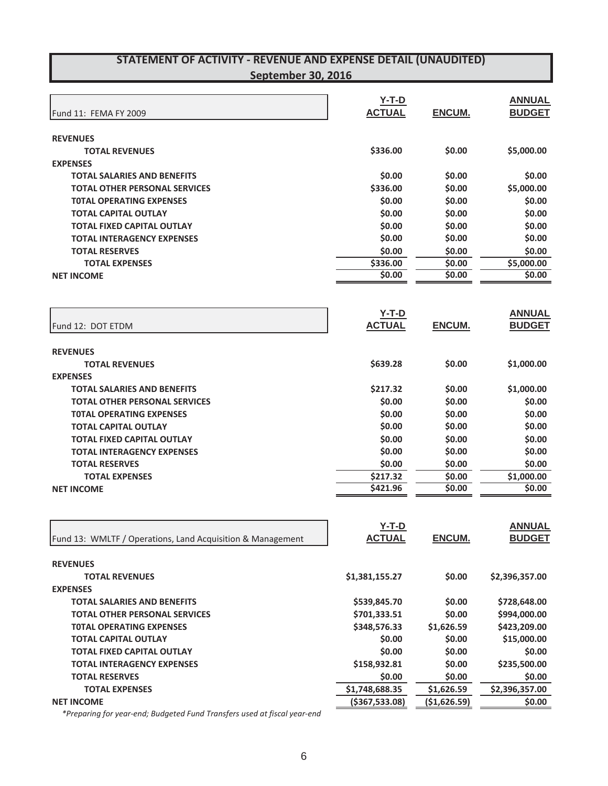|                                                            | $Y-T-D$        |               | <b>ANNUAL</b>  |
|------------------------------------------------------------|----------------|---------------|----------------|
| Fund 11: FEMA FY 2009                                      | <b>ACTUAL</b>  | ENCUM.        | <b>BUDGET</b>  |
|                                                            |                |               |                |
| <b>REVENUES</b>                                            |                |               |                |
| <b>TOTAL REVENUES</b>                                      | \$336.00       | \$0.00        | \$5,000.00     |
| <b>EXPENSES</b>                                            |                |               |                |
| <b>TOTAL SALARIES AND BENEFITS</b>                         | \$0.00         | \$0.00        | \$0.00         |
| <b>TOTAL OTHER PERSONAL SERVICES</b>                       | \$336.00       | \$0.00        | \$5,000.00     |
| <b>TOTAL OPERATING EXPENSES</b>                            | \$0.00         | \$0.00        | \$0.00         |
| <b>TOTAL CAPITAL OUTLAY</b>                                | \$0.00         | \$0.00        | \$0.00         |
| <b>TOTAL FIXED CAPITAL OUTLAY</b>                          | \$0.00         | \$0.00        | \$0.00         |
| <b>TOTAL INTERAGENCY EXPENSES</b>                          | \$0.00         | \$0.00        | \$0.00         |
| <b>TOTAL RESERVES</b>                                      | \$0.00         | \$0.00        | \$0.00         |
| <b>TOTAL EXPENSES</b>                                      | \$336.00       | \$0.00        | \$5,000.00     |
| <b>NET INCOME</b>                                          | \$0.00         | \$0.00        | \$0.00         |
|                                                            |                |               |                |
|                                                            |                |               |                |
|                                                            | $Y-T-D$        |               | <b>ANNUAL</b>  |
| Fund 12: DOT ETDM                                          | <b>ACTUAL</b>  | <b>ENCUM.</b> | <b>BUDGET</b>  |
|                                                            |                |               |                |
| <b>REVENUES</b>                                            |                |               |                |
| <b>TOTAL REVENUES</b>                                      | \$639.28       | \$0.00        | \$1,000.00     |
| <b>EXPENSES</b>                                            |                |               |                |
| <b>TOTAL SALARIES AND BENEFITS</b>                         | \$217.32       | \$0.00        | \$1,000.00     |
| <b>TOTAL OTHER PERSONAL SERVICES</b>                       | \$0.00         | \$0.00        | \$0.00         |
| <b>TOTAL OPERATING EXPENSES</b>                            | \$0.00         | \$0.00        | \$0.00         |
| <b>TOTAL CAPITAL OUTLAY</b>                                | \$0.00         | \$0.00        | \$0.00         |
| <b>TOTAL FIXED CAPITAL OUTLAY</b>                          | \$0.00         | \$0.00        | \$0.00         |
| <b>TOTAL INTERAGENCY EXPENSES</b>                          | \$0.00         | \$0.00        | \$0.00         |
| <b>TOTAL RESERVES</b>                                      | \$0.00         | \$0.00        | \$0.00         |
| <b>TOTAL EXPENSES</b>                                      | \$217.32       | \$0.00        | \$1,000.00     |
| <b>NET INCOME</b>                                          | \$421.96       | \$0.00        | \$0.00         |
|                                                            |                |               |                |
|                                                            |                |               |                |
|                                                            | Y-T-D          |               | <b>ANNUAL</b>  |
| Fund 13: WMLTF / Operations, Land Acquisition & Management | <b>ACTUAL</b>  | ENCUM.        | <b>BUDGET</b>  |
|                                                            |                |               |                |
| <b>REVENUES</b>                                            |                |               |                |
| <b>TOTAL REVENUES</b>                                      | \$1,381,155.27 | \$0.00        | \$2,396,357.00 |
| <b>EXPENSES</b>                                            |                |               |                |
| <b>TOTAL SALARIES AND BENEFITS</b>                         | \$539,845.70   | \$0.00        | \$728,648.00   |
| <b>TOTAL OTHER PERSONAL SERVICES</b>                       | \$701,333.51   | \$0.00        | \$994,000.00   |
| <b>TOTAL OPERATING EXPENSES</b>                            | \$348,576.33   | \$1,626.59    | \$423,209.00   |
| <b>TOTAL CAPITAL OUTLAY</b>                                | \$0.00         | \$0.00        | \$15,000.00    |
| <b>TOTAL FIXED CAPITAL OUTLAY</b>                          | \$0.00         | \$0.00        | \$0.00         |
| <b>TOTAL INTERAGENCY EXPENSES</b>                          | \$158,932.81   | \$0.00        | \$235,500.00   |
| <b>TOTAL RESERVES</b>                                      | \$0.00         | \$0.00        | \$0.00         |

*\*Preparing for yearͲend; Budgeted Fund Transfers used at fiscal yearͲend*

**NET INCOME** (\$367,533.08)  $(5367,533.08)$   $(51,626.59)$  \$0.00

**TOTAL EXPENSES** \$1,748,688.35 \$1,626.59 \$2,396,357.00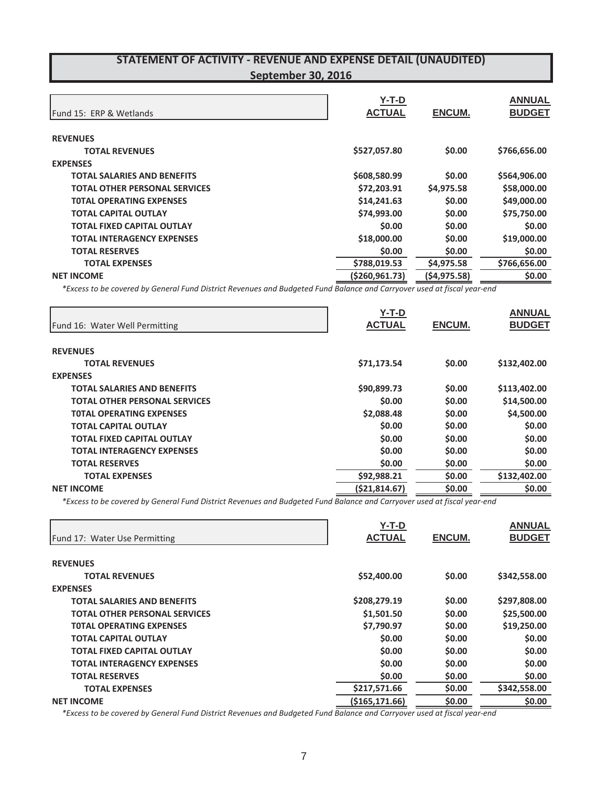|                                      | Y-T-D            |               | <b>ANNUAL</b> |
|--------------------------------------|------------------|---------------|---------------|
| Fund 15: ERP & Wetlands              | <b>ACTUAL</b>    | <b>ENCUM.</b> | <b>BUDGET</b> |
| <b>REVENUES</b>                      |                  |               |               |
| <b>TOTAL REVENUES</b>                | \$527,057.80     | \$0.00        | \$766,656.00  |
| <b>EXPENSES</b>                      |                  |               |               |
| <b>TOTAL SALARIES AND BENEFITS</b>   | \$608,580.99     | \$0.00        | \$564,906.00  |
| <b>TOTAL OTHER PERSONAL SERVICES</b> | \$72,203.91      | \$4,975.58    | \$58,000.00   |
| <b>TOTAL OPERATING EXPENSES</b>      | \$14,241.63      | \$0.00        | \$49,000.00   |
| <b>TOTAL CAPITAL OUTLAY</b>          | \$74,993.00      | \$0.00        | \$75,750.00   |
| <b>TOTAL FIXED CAPITAL OUTLAY</b>    | \$0.00           | \$0.00        | \$0.00        |
| <b>TOTAL INTERAGENCY EXPENSES</b>    | \$18,000.00      | \$0.00        | \$19,000.00   |
| <b>TOTAL RESERVES</b>                | \$0.00           | \$0.00        | \$0.00        |
| <b>TOTAL EXPENSES</b>                | \$788,019.53     | \$4,975.58    | \$766,656.00  |
| <b>NET INCOME</b>                    | ( \$260, 961.73) | (54, 975.58)  | \$0.00        |

\*Excess to be covered by General Fund District Revenues and Budgeted Fund Balance and Carryover used at fiscal year-end

|                                      | Y-T-D         |               | <b>ANNUAL</b> |
|--------------------------------------|---------------|---------------|---------------|
| Fund 16: Water Well Permitting       | <b>ACTUAL</b> | <b>ENCUM.</b> | <b>BUDGET</b> |
| <b>REVENUES</b>                      |               |               |               |
| <b>TOTAL REVENUES</b>                | \$71,173.54   | \$0.00        | \$132,402.00  |
| <b>EXPENSES</b>                      |               |               |               |
| <b>TOTAL SALARIES AND BENEFITS</b>   | \$90,899.73   | \$0.00        | \$113,402.00  |
| <b>TOTAL OTHER PERSONAL SERVICES</b> | \$0.00        | \$0.00        | \$14,500.00   |
| <b>TOTAL OPERATING EXPENSES</b>      | \$2,088.48    | \$0.00        | \$4,500.00    |
| <b>TOTAL CAPITAL OUTLAY</b>          | \$0.00        | \$0.00        | \$0.00        |
| TOTAL FIXED CAPITAL OUTLAY           | \$0.00        | \$0.00        | \$0.00        |
| <b>TOTAL INTERAGENCY EXPENSES</b>    | \$0.00        | \$0.00        | \$0.00        |
| <b>TOTAL RESERVES</b>                | \$0.00        | \$0.00        | \$0.00        |
| <b>TOTAL EXPENSES</b>                | \$92,988.21   | \$0.00        | \$132,402.00  |
| <b>NET INCOME</b>                    | (521, 814.67) | \$0.00        | \$0.00        |

\*Excess to be covered by General Fund District Revenues and Budgeted Fund Balance and Carryover used at fiscal year-end

|                                      | $Y-T-D$          |        | <b>ANNUAL</b> |
|--------------------------------------|------------------|--------|---------------|
| Fund 17: Water Use Permitting        | <b>ACTUAL</b>    | ENCUM. | <b>BUDGET</b> |
| <b>REVENUES</b>                      |                  |        |               |
| <b>TOTAL REVENUES</b>                | \$52,400.00      | \$0.00 | \$342,558.00  |
| <b>EXPENSES</b>                      |                  |        |               |
| <b>TOTAL SALARIES AND BENEFITS</b>   | \$208,279.19     | \$0.00 | \$297,808.00  |
| <b>TOTAL OTHER PERSONAL SERVICES</b> | \$1,501.50       | \$0.00 | \$25,500.00   |
| <b>TOTAL OPERATING EXPENSES</b>      | \$7,790.97       | \$0.00 | \$19,250.00   |
| <b>TOTAL CAPITAL OUTLAY</b>          | \$0.00           | \$0.00 | \$0.00        |
| TOTAL FIXED CAPITAL OUTLAY           | \$0.00           | \$0.00 | \$0.00        |
| <b>TOTAL INTERAGENCY EXPENSES</b>    | \$0.00           | \$0.00 | \$0.00        |
| <b>TOTAL RESERVES</b>                | \$0.00           | \$0.00 | \$0.00        |
| <b>TOTAL EXPENSES</b>                | \$217,571.66     | \$0.00 | \$342,558.00  |
| <b>NET INCOME</b>                    | ( \$165, 171.66) | \$0.00 | \$0.00        |

\*Excess to be covered by General Fund District Revenues and Budgeted Fund Balance and Carryover used at fiscal year-end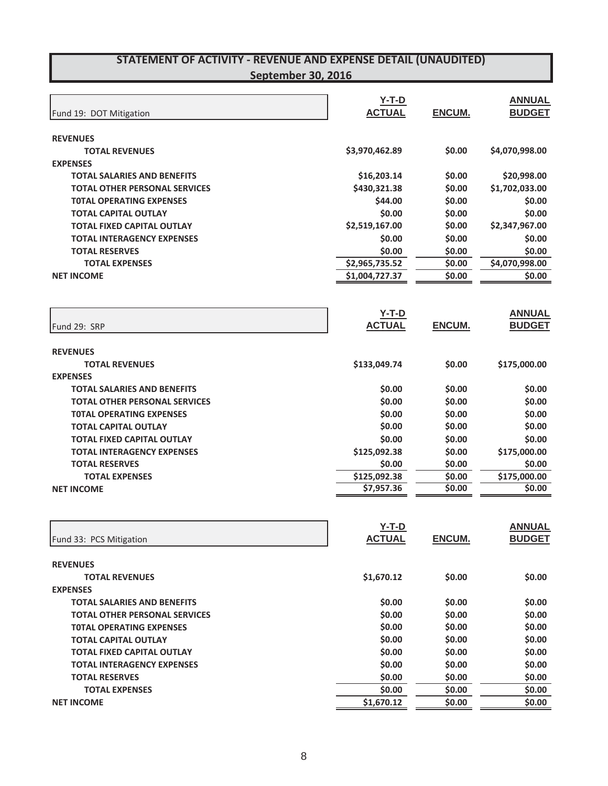| Fund 19: DOT Mitigation                               | <b>Y-T-D</b><br><b>ACTUAL</b> | ENCUM.           | <b>ANNUAL</b><br><b>BUDGET</b> |
|-------------------------------------------------------|-------------------------------|------------------|--------------------------------|
| <b>REVENUES</b>                                       |                               |                  |                                |
| <b>TOTAL REVENUES</b>                                 | \$3,970,462.89                | \$0.00           | \$4,070,998.00                 |
| <b>EXPENSES</b><br><b>TOTAL SALARIES AND BENEFITS</b> |                               |                  |                                |
| <b>TOTAL OTHER PERSONAL SERVICES</b>                  | \$16,203.14<br>\$430,321.38   | \$0.00<br>\$0.00 | \$20,998.00<br>\$1,702,033.00  |
| <b>TOTAL OPERATING EXPENSES</b>                       | \$44.00                       | \$0.00           | \$0.00                         |
| <b>TOTAL CAPITAL OUTLAY</b>                           | \$0.00                        | \$0.00           | \$0.00                         |
| <b>TOTAL FIXED CAPITAL OUTLAY</b>                     | \$2,519,167.00                | \$0.00           | \$2,347,967.00                 |
| <b>TOTAL INTERAGENCY EXPENSES</b>                     | \$0.00                        | \$0.00           | \$0.00                         |
| <b>TOTAL RESERVES</b>                                 | \$0.00                        | \$0.00           | \$0.00                         |
| <b>TOTAL EXPENSES</b>                                 | \$2,965,735.52                | \$0.00           | \$4,070,998.00                 |
| <b>NET INCOME</b>                                     | \$1,004,727.37                | \$0.00           | \$0.00                         |
|                                                       | $Y-T-D$                       |                  | <b>ANNUAL</b>                  |
| Fund 29: SRP                                          | <b>ACTUAL</b>                 | <b>ENCUM.</b>    | <b>BUDGET</b>                  |
|                                                       |                               |                  |                                |
| <b>REVENUES</b>                                       |                               |                  |                                |
| <b>TOTAL REVENUES</b>                                 | \$133,049.74                  | \$0.00           | \$175,000.00                   |
| <b>EXPENSES</b>                                       |                               |                  |                                |
| <b>TOTAL SALARIES AND BENEFITS</b>                    | \$0.00                        | \$0.00           | \$0.00                         |
| <b>TOTAL OTHER PERSONAL SERVICES</b>                  | \$0.00                        | \$0.00           | \$0.00                         |
| <b>TOTAL OPERATING EXPENSES</b>                       | \$0.00                        | \$0.00           | \$0.00                         |
| <b>TOTAL CAPITAL OUTLAY</b>                           | \$0.00                        | \$0.00           | \$0.00                         |
| <b>TOTAL FIXED CAPITAL OUTLAY</b>                     | \$0.00                        | \$0.00           | \$0.00                         |
| <b>TOTAL INTERAGENCY EXPENSES</b>                     | \$125,092.38                  | \$0.00           | \$175,000.00                   |
| <b>TOTAL RESERVES</b>                                 | \$0.00                        | \$0.00           | \$0.00                         |
| <b>TOTAL EXPENSES</b>                                 | \$125,092.38                  | \$0.00           | \$175,000.00                   |
| <b>NET INCOME</b>                                     | \$7,957.36                    | \$0.00           | \$0.00                         |
|                                                       | $Y-T-D$                       |                  | <b>ANNUAL</b>                  |
| Fund 33: PCS Mitigation                               | <b>ACTUAL</b>                 | ENCUM.           | <b>BUDGET</b>                  |
|                                                       |                               |                  |                                |
| <b>REVENUES</b>                                       | \$1,670.12                    | \$0.00           | \$0.00                         |
| <b>TOTAL REVENUES</b><br><b>EXPENSES</b>              |                               |                  |                                |
| <b>TOTAL SALARIES AND BENEFITS</b>                    | \$0.00                        | \$0.00           | \$0.00                         |
| <b>TOTAL OTHER PERSONAL SERVICES</b>                  | \$0.00                        | \$0.00           | \$0.00                         |
| <b>TOTAL OPERATING EXPENSES</b>                       | \$0.00                        | \$0.00           | \$0.00                         |
| <b>TOTAL CAPITAL OUTLAY</b>                           | \$0.00                        | \$0.00           | \$0.00                         |
| <b>TOTAL FIXED CAPITAL OUTLAY</b>                     | \$0.00                        | \$0.00           | \$0.00                         |
| <b>TOTAL INTERAGENCY EXPENSES</b>                     | \$0.00                        | \$0.00           | \$0.00                         |
| <b>TOTAL RESERVES</b>                                 | \$0.00                        | \$0.00           | \$0.00                         |
| <b>TOTAL EXPENSES</b>                                 | \$0.00                        | \$0.00           | \$0.00                         |
| <b>NET INCOME</b>                                     | \$1,670.12                    | \$0.00           | \$0.00                         |
|                                                       |                               |                  |                                |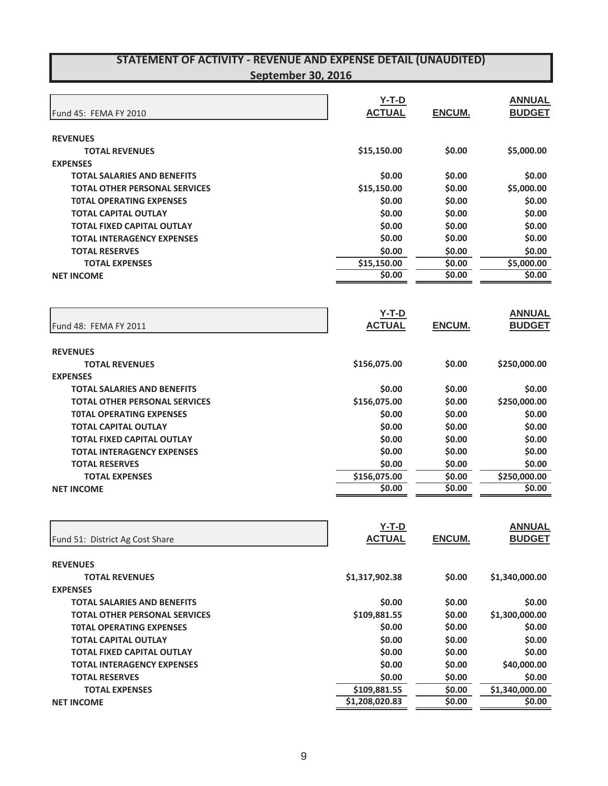| Fund 45: FEMA FY 2010                          | $Y-T-D$<br><b>ACTUAL</b> | ENCUM.           | <b>ANNUAL</b><br><b>BUDGET</b> |
|------------------------------------------------|--------------------------|------------------|--------------------------------|
| <b>REVENUES</b>                                |                          |                  |                                |
| <b>TOTAL REVENUES</b>                          | \$15,150.00              | \$0.00           | \$5,000.00                     |
| <b>EXPENSES</b>                                |                          |                  |                                |
| <b>TOTAL SALARIES AND BENEFITS</b>             | \$0.00                   | \$0.00           | \$0.00                         |
| <b>TOTAL OTHER PERSONAL SERVICES</b>           | \$15,150.00              | \$0.00           | \$5,000.00                     |
| <b>TOTAL OPERATING EXPENSES</b>                | \$0.00                   | \$0.00           | \$0.00                         |
| <b>TOTAL CAPITAL OUTLAY</b>                    | \$0.00                   | \$0.00           | \$0.00                         |
| <b>TOTAL FIXED CAPITAL OUTLAY</b>              | \$0.00                   | \$0.00           | \$0.00                         |
| <b>TOTAL INTERAGENCY EXPENSES</b>              | \$0.00                   | \$0.00           | \$0.00                         |
| <b>TOTAL RESERVES</b>                          | \$0.00                   | \$0.00           | \$0.00                         |
| <b>TOTAL EXPENSES</b>                          | \$15,150.00              | \$0.00           | \$5,000.00                     |
| <b>NET INCOME</b>                              | \$0.00                   | \$0.00           | \$0.00                         |
|                                                |                          |                  |                                |
|                                                | $Y-T-D$                  |                  | <b>ANNUAL</b>                  |
| Fund 48: FEMA FY 2011                          | <b>ACTUAL</b>            | <b>ENCUM.</b>    | <b>BUDGET</b>                  |
|                                                |                          |                  |                                |
| <b>REVENUES</b>                                |                          |                  |                                |
| <b>TOTAL REVENUES</b>                          | \$156,075.00             | \$0.00           | \$250,000.00                   |
| <b>EXPENSES</b>                                |                          |                  |                                |
| <b>TOTAL SALARIES AND BENEFITS</b>             | \$0.00                   | \$0.00           | \$0.00                         |
| <b>TOTAL OTHER PERSONAL SERVICES</b>           | \$156,075.00             | \$0.00           | \$250,000.00                   |
| <b>TOTAL OPERATING EXPENSES</b>                | \$0.00                   | \$0.00           | \$0.00                         |
| <b>TOTAL CAPITAL OUTLAY</b>                    | \$0.00                   | \$0.00           | \$0.00                         |
| <b>TOTAL FIXED CAPITAL OUTLAY</b>              | \$0.00                   | \$0.00           | \$0.00                         |
| <b>TOTAL INTERAGENCY EXPENSES</b>              | \$0.00                   | \$0.00           | \$0.00                         |
| <b>TOTAL RESERVES</b>                          | \$0.00                   | \$0.00           | \$0.00                         |
| <b>TOTAL EXPENSES</b>                          | \$156,075.00             | \$0.00           | \$250,000.00                   |
| <b>NET INCOME</b>                              | \$0.00                   | \$0.00           | \$0.00                         |
|                                                | $Y-T-D$                  |                  | <b>ANNUAL</b>                  |
| Fund 51: District Ag Cost Share                | <b>ACTUAL</b>            | ENCUM.           | <b>BUDGET</b>                  |
| <b>REVENUES</b>                                |                          |                  |                                |
| <b>TOTAL REVENUES</b>                          | \$1,317,902.38           | \$0.00           | \$1,340,000.00                 |
| <b>EXPENSES</b>                                |                          |                  |                                |
| <b>TOTAL SALARIES AND BENEFITS</b>             | \$0.00                   | \$0.00           | \$0.00                         |
| <b>TOTAL OTHER PERSONAL SERVICES</b>           | \$109,881.55             | \$0.00           | \$1,300,000.00                 |
| <b>TOTAL OPERATING EXPENSES</b>                | \$0.00                   | \$0.00           | \$0.00                         |
| <b>TOTAL CAPITAL OUTLAY</b>                    | \$0.00                   | \$0.00           | \$0.00                         |
| <b>TOTAL FIXED CAPITAL OUTLAY</b>              | \$0.00                   | \$0.00           | \$0.00                         |
|                                                | \$0.00                   |                  | \$40,000.00                    |
| <b>TOTAL INTERAGENCY EXPENSES</b>              | \$0.00                   | \$0.00<br>\$0.00 | \$0.00                         |
| <b>TOTAL RESERVES</b><br><b>TOTAL EXPENSES</b> | \$109,881.55             |                  |                                |
| <b>NET INCOME</b>                              | \$1,208,020.83           | \$0.00<br>\$0.00 | \$1,340,000.00<br>\$0.00       |
|                                                |                          |                  |                                |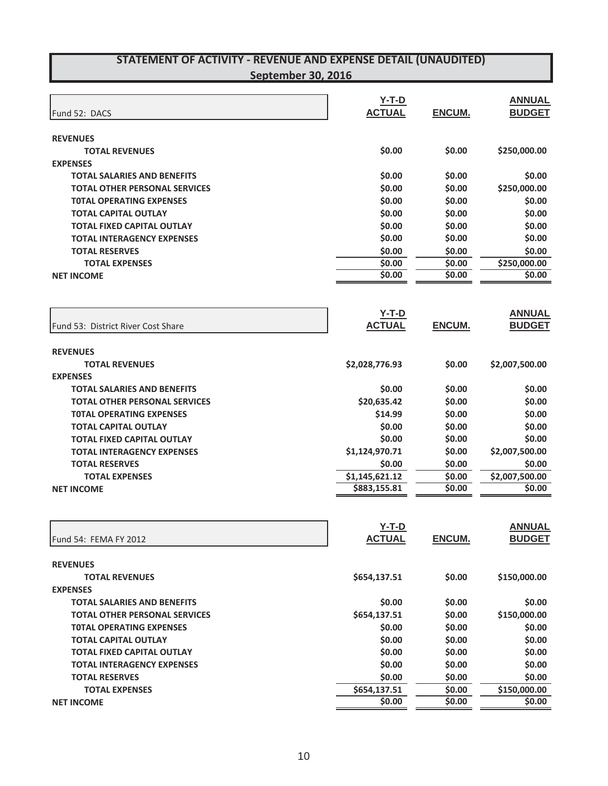| Fund 52: DACS                        | $Y-T-D$<br><b>ACTUAL</b> | <b>ENCUM.</b> | <b>ANNUAL</b><br><b>BUDGET</b> |
|--------------------------------------|--------------------------|---------------|--------------------------------|
| <b>REVENUES</b>                      |                          |               |                                |
| <b>TOTAL REVENUES</b>                | \$0.00                   | \$0.00        | \$250,000.00                   |
| <b>EXPENSES</b>                      |                          |               |                                |
| <b>TOTAL SALARIES AND BENEFITS</b>   | \$0.00                   | \$0.00        | \$0.00                         |
| <b>TOTAL OTHER PERSONAL SERVICES</b> | \$0.00                   | \$0.00        | \$250,000.00                   |
| <b>TOTAL OPERATING EXPENSES</b>      | \$0.00                   | \$0.00        | \$0.00                         |
| <b>TOTAL CAPITAL OUTLAY</b>          | \$0.00                   | \$0.00        | \$0.00                         |
| <b>TOTAL FIXED CAPITAL OUTLAY</b>    | \$0.00                   | \$0.00        | \$0.00                         |
| <b>TOTAL INTERAGENCY EXPENSES</b>    | \$0.00                   | \$0.00        | \$0.00                         |
| <b>TOTAL RESERVES</b>                | \$0.00                   | \$0.00        | \$0.00                         |
| <b>TOTAL EXPENSES</b>                | \$0.00                   | \$0.00        | \$250,000.00                   |
| <b>NET INCOME</b>                    | \$0.00                   | \$0.00        | \$0.00                         |
|                                      |                          |               |                                |
|                                      | $Y-T-D$                  |               | <b>ANNUAL</b>                  |
| Fund 53: District River Cost Share   | <b>ACTUAL</b>            | <b>ENCUM.</b> | <b>BUDGET</b>                  |
|                                      |                          |               |                                |
| <b>REVENUES</b>                      |                          |               |                                |
| <b>TOTAL REVENUES</b>                | \$2,028,776.93           | \$0.00        | \$2,007,500.00                 |
| <b>EXPENSES</b>                      |                          |               |                                |
| <b>TOTAL SALARIES AND BENEFITS</b>   | \$0.00                   | \$0.00        | \$0.00                         |
| <b>TOTAL OTHER PERSONAL SERVICES</b> | \$20,635.42              | \$0.00        | \$0.00                         |
| <b>TOTAL OPERATING EXPENSES</b>      | \$14.99                  | \$0.00        | \$0.00                         |
| <b>TOTAL CAPITAL OUTLAY</b>          | \$0.00                   | \$0.00        | \$0.00                         |
| <b>TOTAL FIXED CAPITAL OUTLAY</b>    | \$0.00                   | \$0.00        | \$0.00                         |
| <b>TOTAL INTERAGENCY EXPENSES</b>    | \$1,124,970.71           | \$0.00        | \$2,007,500.00                 |
| <b>TOTAL RESERVES</b>                | \$0.00                   | \$0.00        | \$0.00                         |
| <b>TOTAL EXPENSES</b>                | \$1,145,621.12           | \$0.00        | \$2,007,500.00                 |
| <b>NET INCOME</b>                    | \$883,155.81             | \$0.00        | \$0.00                         |
|                                      |                          |               |                                |
|                                      | $Y-T-D$                  |               | <b>ANNUAL</b>                  |
| Fund 54: FEMA FY 2012                | <b>ACTUAL</b>            | ENCUM.        | <b>BUDGET</b>                  |
| <b>REVENUES</b>                      |                          |               |                                |
| <b>TOTAL REVENUES</b>                | \$654,137.51             | \$0.00        | \$150,000.00                   |
| <b>EXPENSES</b>                      |                          |               |                                |
| <b>TOTAL SALARIES AND BENEFITS</b>   | \$0.00                   | \$0.00        | \$0.00                         |
| <b>TOTAL OTHER PERSONAL SERVICES</b> | \$654,137.51             | \$0.00        | \$150,000.00                   |
| <b>TOTAL OPERATING EXPENSES</b>      | \$0.00                   | \$0.00        | \$0.00                         |
| <b>TOTAL CAPITAL OUTLAY</b>          | \$0.00                   | \$0.00        | \$0.00                         |
| <b>TOTAL FIXED CAPITAL OUTLAY</b>    | \$0.00                   | \$0.00        | \$0.00                         |
| <b>TOTAL INTERAGENCY EXPENSES</b>    | \$0.00                   | \$0.00        | \$0.00                         |
| <b>TOTAL RESERVES</b>                | \$0.00                   | \$0.00        | \$0.00                         |
| <b>TOTAL EXPENSES</b>                | \$654,137.51             | \$0.00        | \$150,000.00                   |
| <b>NET INCOME</b>                    | \$0.00                   | \$0.00        | \$0.00                         |
|                                      |                          |               |                                |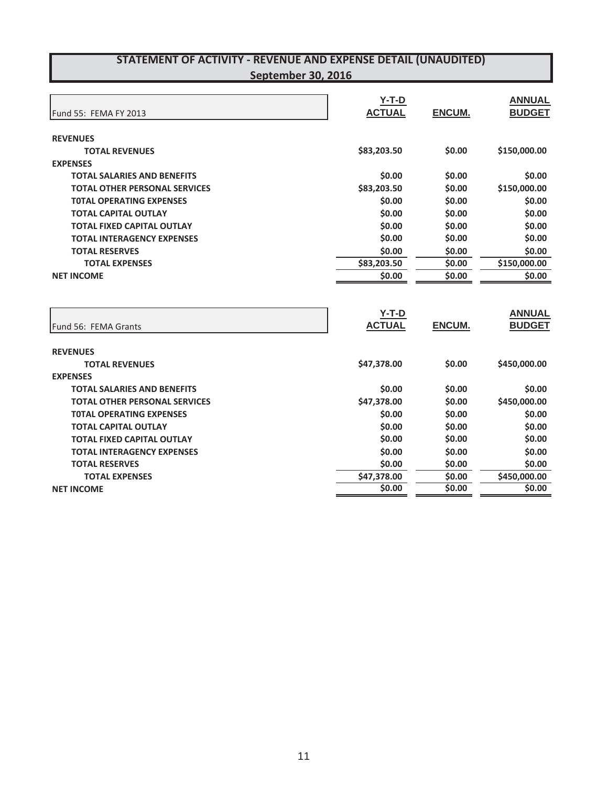| Fund 55: FEMA FY 2013                | $Y-T-D$<br><b>ACTUAL</b> | ENCUM.        | <b>ANNUAL</b><br><b>BUDGET</b> |
|--------------------------------------|--------------------------|---------------|--------------------------------|
| <b>REVENUES</b>                      |                          |               |                                |
| <b>TOTAL REVENUES</b>                | \$83,203.50              | \$0.00        | \$150,000.00                   |
| <b>EXPENSES</b>                      |                          |               |                                |
| <b>TOTAL SALARIES AND BENEFITS</b>   | \$0.00                   | \$0.00        | \$0.00                         |
| <b>TOTAL OTHER PERSONAL SERVICES</b> | \$83,203.50              | \$0.00        | \$150,000.00                   |
| <b>TOTAL OPERATING EXPENSES</b>      | \$0.00                   | \$0.00        | \$0.00                         |
| <b>TOTAL CAPITAL OUTLAY</b>          | \$0.00                   | \$0.00        | \$0.00                         |
| <b>TOTAL FIXED CAPITAL OUTLAY</b>    | \$0.00                   | \$0.00        | \$0.00                         |
| <b>TOTAL INTERAGENCY EXPENSES</b>    | \$0.00                   | \$0.00        | \$0.00                         |
| <b>TOTAL RESERVES</b>                | \$0.00                   | \$0.00        | \$0.00                         |
| <b>TOTAL EXPENSES</b>                | \$83,203.50              | \$0.00        | \$150,000.00                   |
| <b>NET INCOME</b>                    | \$0.00                   | \$0.00        | \$0.00                         |
| Fund 56: FEMA Grants                 | $Y-T-D$<br><b>ACTUAL</b> | <b>ENCUM.</b> | <b>ANNUAL</b><br><b>BUDGET</b> |
| <b>REVENUES</b>                      |                          |               |                                |
| <b>TOTAL REVENUES</b>                | \$47,378.00              | \$0.00        | \$450,000.00                   |
| <b>EXPENSES</b>                      |                          |               |                                |
| <b>TOTAL SALARIES AND BENEFITS</b>   | \$0.00                   | \$0.00        | \$0.00                         |
| <b>TOTAL OTHER PERSONAL SERVICES</b> | \$47,378.00              | \$0.00        | \$450,000.00                   |
| <b>TOTAL OPERATING EXPENSES</b>      | \$0.00                   | \$0.00        | \$0.00                         |
| <b>TOTAL CAPITAL OUTLAY</b>          | \$0.00                   | \$0.00        | \$0.00                         |
| <b>TOTAL FIXED CAPITAL OUTLAY</b>    | \$0.00                   | \$0.00        | \$0.00                         |
| <b>TOTAL INTERAGENCY EXPENSES</b>    | \$0.00                   | \$0.00        | \$0.00                         |
| <b>TOTAL RESERVES</b>                | \$0.00                   | \$0.00        | \$0.00                         |
| <b>TOTAL EXPENSES</b>                | \$47,378.00              | \$0.00        | \$450,000.00                   |
| <b>NET INCOME</b>                    | 50.00                    | \$0.00        | \$0.00                         |